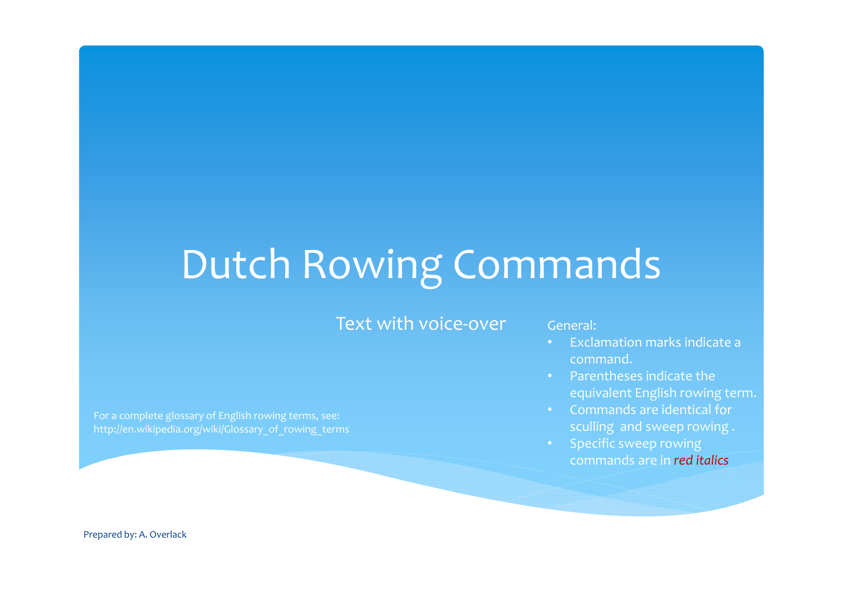# Dutch Rowing Commands

#### Text with voice-over General:

For a complete glossary of English rowing terms, see: http://en.wikipedia.org/wiki/Glossary\_of\_rowing\_terms

- Exclamation marks indicate <sup>a</sup> command.
- Parentheses indicate the equivalent English rowing term.
- Commands are identical for sculling and sweep rowing .
- Specific sweep rowing commands are in *red italics*

Prepared by: A. Overlack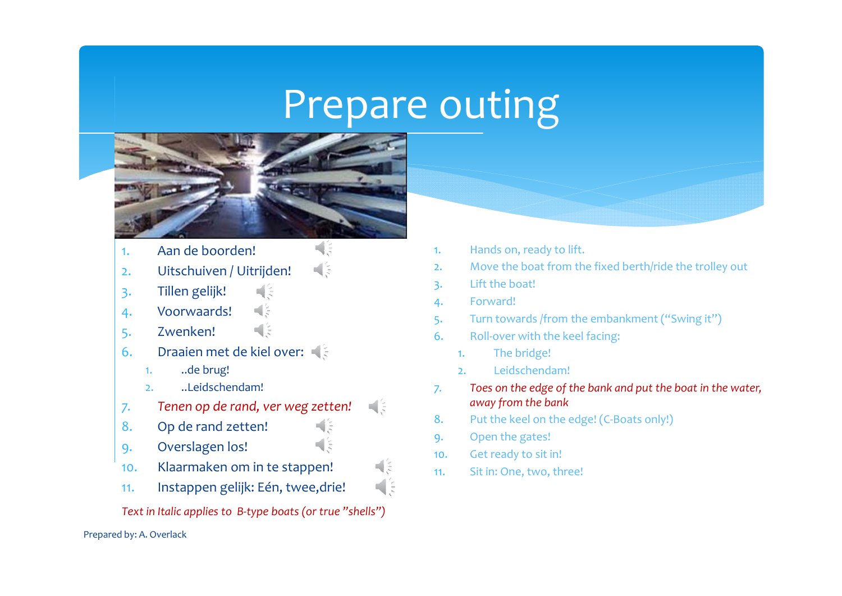### Prepare outing



비용 해양

₫₿

国語

- 1.Aan de boorden!
- 2.Uitschuiven / Uitrijden!
- 3. Tillen gelijk!
- 4. Voorwaards!
- 5. Zwenken!
- 6. Draaien met de kiel over:
	- 1...de brug!
	- 2...Leidschendam!
- *7. Tenen op de rand, ver weg zetten!*
- 8.Op de rand zetten!
- 9. Overslagen los!
- 10.. Klaarmaken om in te stappen!
- 11.Instappen gelijk: Eén, twee,drie!
- *Text in Italic applies to <sup>B</sup>‐type boats (or true "shells")*

#### Prepared by: A. Overlack

- 1.Hands on, ready to lift.
- 2.Move the boat from the fixed berth/ride the trolley out
- 3. Lift the boat!
- 4. Forward!
- 5. Turn towards /from the embankment ("Swing it")
- 6.. Roll-over with the keel facing:
	- 1.The bridge!
	- 2.Leidschendam!
- *7. Toes on the edge of the bank and pu<sup>t</sup> the boat in the water, away from the bank*
- 8.. Put the keel on the edge! (C-Boats only!)
- 9. Open the gates!
- 10.. Get ready to sit in!
- 11.Sit in: One, two, three!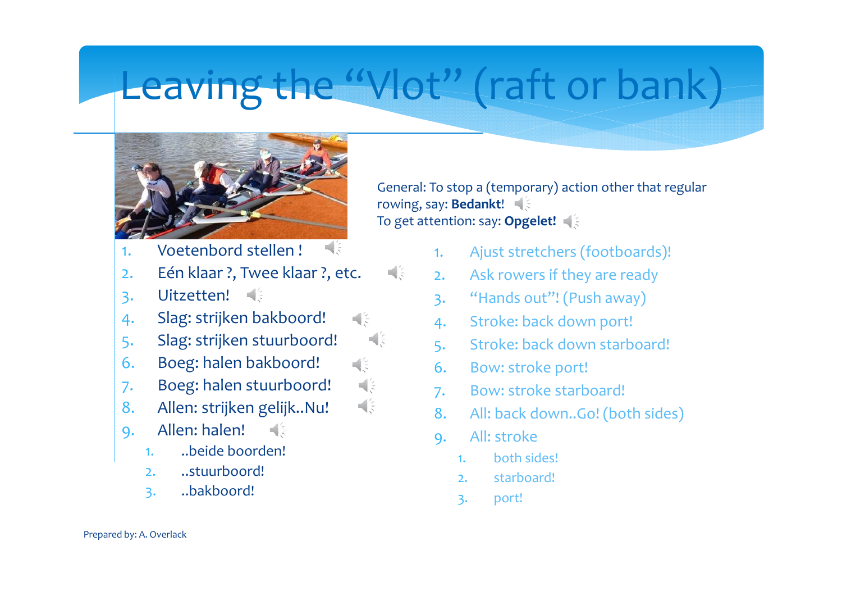# Leaving the "Vlot" (raft or bank)

해왕

国美

리히

Ч≶ 네임



General: To stop <sup>a</sup> (temporary) action other that regular rowing, say: **Bedankt**! To get attention: say: **Opgelet!**

- 1.Voetenbord stellen !
- 2.Eén klaar ?, Twee klaar ?, etc.
- 3. Uitzetten!
- 4. Slag: strijken bakboord!
- 5. Slag: strijken stuurboord!
- 6. Boeg: halen bakboord!
- 7. Boeg: halen stuurboord!
- 8.Allen: strijken gelijk..Nu!
- 9. Allen: halen!  $\blacksquare$ 
	- 1...beide boorden!
	- $2.1$ ..stuurboord!
	- 3. ..bakboord!
- 1.Ajust stretchers (footboards)!
- 2.Ask rowers if they are ready
- 3. "Hands out"! (Push away)
- 4. Stroke: back down port!
- 5. Stroke: back down starboard!
- 6. Bow: stroke port!
- 7. Bow: stroke starboard!
- 8.All: back down..Go! (both sides)
- 9. All: stroke
	- 1.both sides!
	- 2.starboard!
	- 3. port!

Prepared by: A. Overlack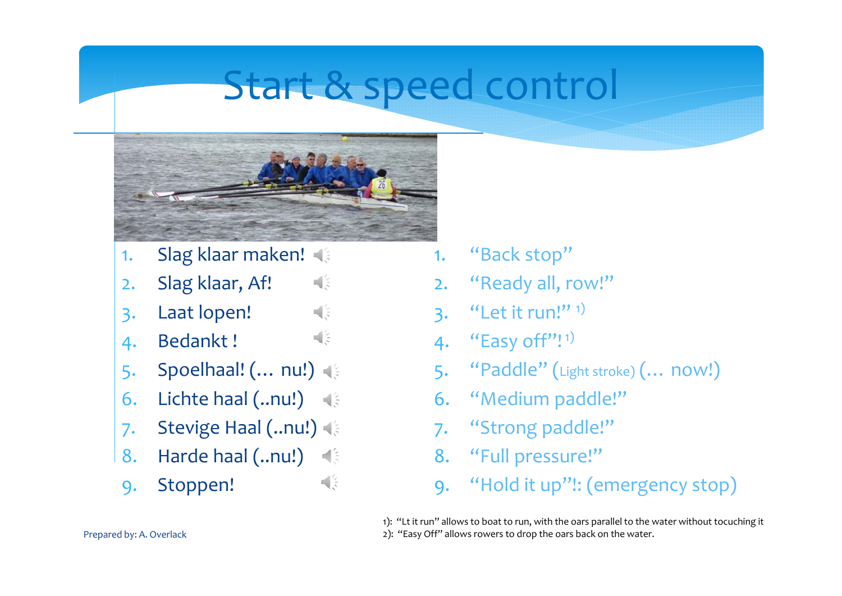### Start & speed control



비원

비송

 $\mathbb{R}^2$ 

- 1.Slag klaar maken!
- 2.Slag klaar, Af!
- 3. Laat lopen!
- 4. Bedankt !
- 5. Spoelhaal! (… nu!)
- 6. Lichte haal (..nu!)
- 7. Stevige Haal (..nu!)
- Harde haal (..nu!) 8. $\mathbb{R}^2$
- 9. Stoppen!
- 1.. "Back stop"
- 2. "Ready all, row!"
- 3. "Let it run!"  $1$ )
- 4. **"Easy off"!** 1)
- 5. "Paddle" (Light stroke) (… now!)
- 6. "Medium paddle!"
- 7. "Strong paddle!"
- 8. "Full pressure!"
- 9. "Hold it up"!: (emergency stop)

1): "Lt it run" allows to boat to run, with the oars parallel to the water without tocuching it 2): "Easy Off" allows rowers to drop the oars back on the water.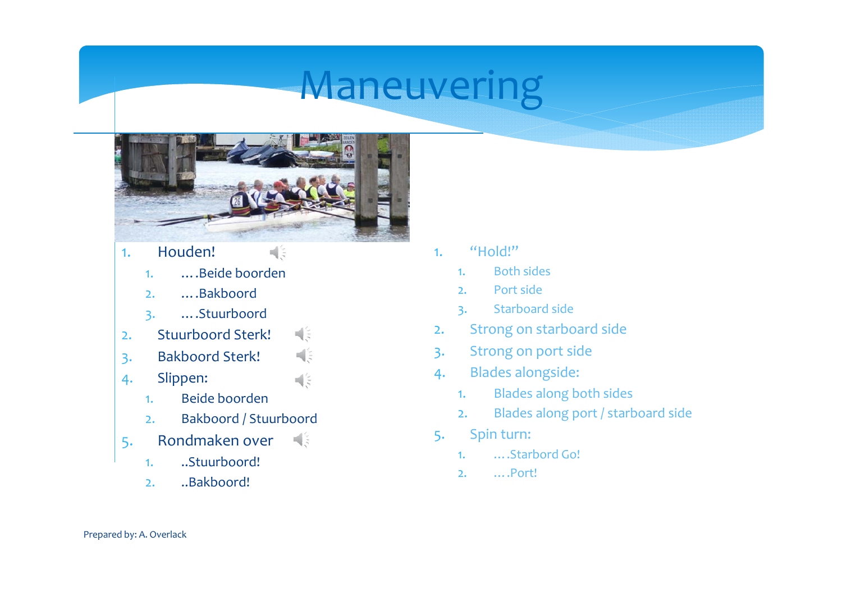## **Maneuvering**



 $\Box$ 

 $\frac{1}{2}$ 

 $\frac{4}{5}$ 

- 1. Houden!
	- 1.….Beide boorden
	- 2.….Bakboord
	- 3. ….Stuurboord
- 해양 . Stuurboord Sterk! 2.
- 3. Bakboord Sterk!
- 4. Slippen:
	- 1.Beide boorden
	- 2.Bakboord / Stuurboord
- 5. Rondmaken over
	- 1...Stuurboord!
	- 2...Bakboord!
- 1. "Hold!"
	- 1.. Both sides
	- $2<sup>2</sup>$ Port side
	- 3. Starboard side
- 2.Strong on starboard side
- 3. Strong on por<sup>t</sup> side
- 4. Blades alongside:
	- 1.Blades along both sides
	- 2.Blades along por<sup>t</sup> / starboard side
- 5. Spin turn:
	- 1.….Starbord Go!
	- $2.$ ….Port!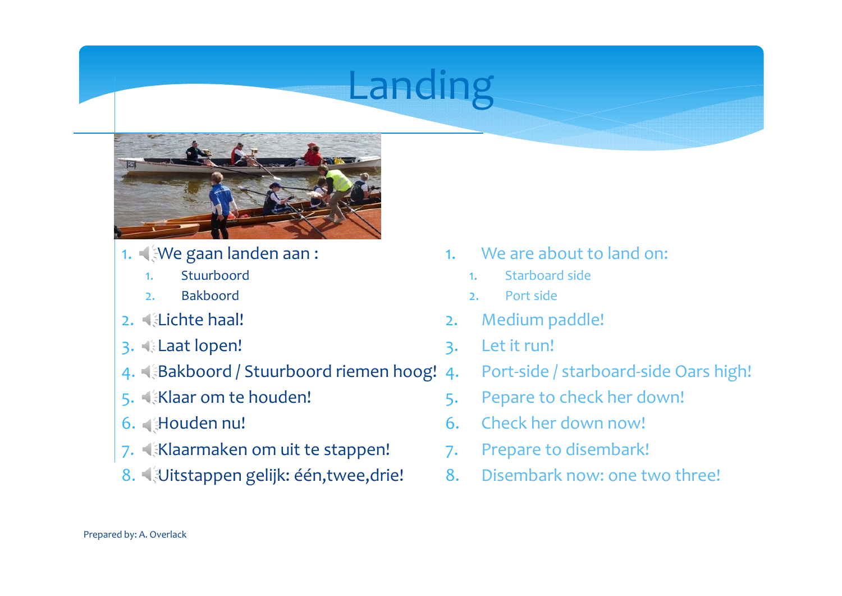# Landing



- 1. We gaan landen aan :
	- 1.Stuurboord
	- 2.Bakboord
- 2. Lichte haal!
- 3. Laat lopen!
- 4. **Bakboord / Stuurboord riemen hoog! 4.**
- 5. **Klaar om te houden!**
- 6. Houden nu!
- 7. Klaarmaken om uit te stappen!
- 8. 《Uitstappen gelijk: één,twee,drie!
- 1. We are about to land on:
	- 1.Starboard side
	- 2.Port side
- 2.Medium paddle!
- 3. Let it run!
	- Port-side / starboard-side Oars high!
- 5. Pepare to check her down!
- 6. Check her down now!
- 7. Prepare to disembark!
- 8.Disembark now: one two three!